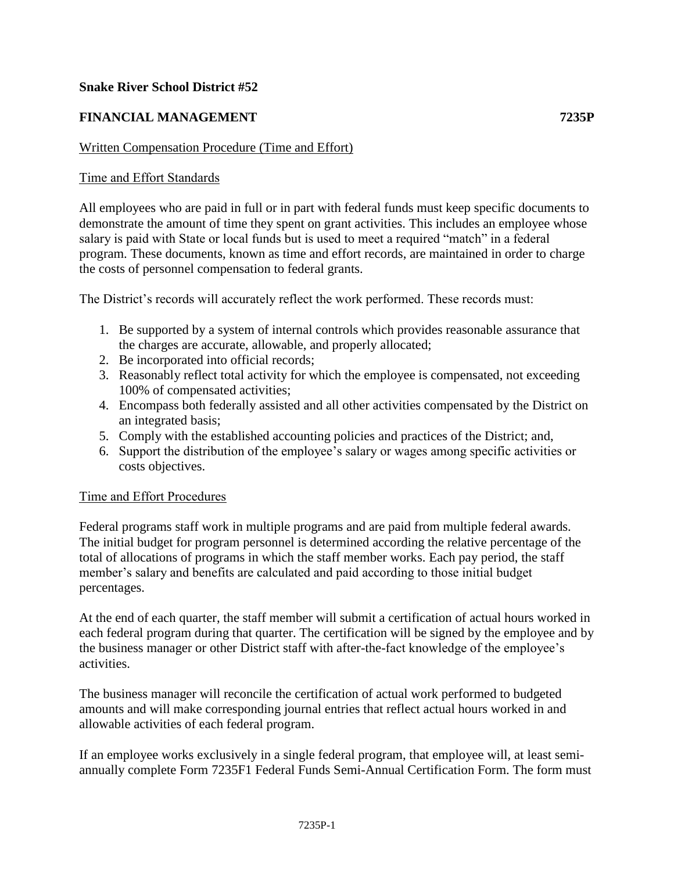## **Snake River School District #52**

# **FINANCIAL MANAGEMENT 7235P**

#### Written Compensation Procedure (Time and Effort)

### Time and Effort Standards

All employees who are paid in full or in part with federal funds must keep specific documents to demonstrate the amount of time they spent on grant activities. This includes an employee whose salary is paid with State or local funds but is used to meet a required "match" in a federal program. These documents, known as time and effort records, are maintained in order to charge the costs of personnel compensation to federal grants.

The District's records will accurately reflect the work performed. These records must:

- 1. Be supported by a system of internal controls which provides reasonable assurance that the charges are accurate, allowable, and properly allocated;
- 2. Be incorporated into official records;
- 3. Reasonably reflect total activity for which the employee is compensated, not exceeding 100% of compensated activities;
- 4. Encompass both federally assisted and all other activities compensated by the District on an integrated basis;
- 5. Comply with the established accounting policies and practices of the District; and,
- 6. Support the distribution of the employee's salary or wages among specific activities or costs objectives.

#### Time and Effort Procedures

Federal programs staff work in multiple programs and are paid from multiple federal awards. The initial budget for program personnel is determined according the relative percentage of the total of allocations of programs in which the staff member works. Each pay period, the staff member's salary and benefits are calculated and paid according to those initial budget percentages.

At the end of each quarter, the staff member will submit a certification of actual hours worked in each federal program during that quarter. The certification will be signed by the employee and by the business manager or other District staff with after-the-fact knowledge of the employee's activities.

The business manager will reconcile the certification of actual work performed to budgeted amounts and will make corresponding journal entries that reflect actual hours worked in and allowable activities of each federal program.

If an employee works exclusively in a single federal program, that employee will, at least semiannually complete Form 7235F1 Federal Funds Semi-Annual Certification Form. The form must